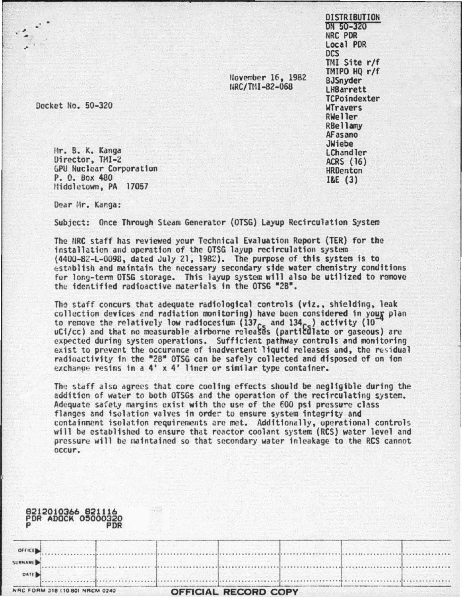DISTRIBUTION DN 50-320 NRC POR local PDR ocs TMI Site r/f TMIPO HQ r/f BJSnyder lHSarrett **TCPoindexter** WTravers RWeller RBellamy AFasano JWiebe lChandler

> ACRS (16) **HRDenton**

I&E (3)

Uovember 16, 1982 IIRC/TI1I-82-068

Docket No. 50-320

, ·

Hr. B. K. Kanga<br>Director, TMI-2 GPU Nuclear Corporation P. 0. Box 480 Hiddletown, PA 17057

Dear Mr. Kanga:

Subject: Once Through Steam Generator (OTSG) layup Recirculation System

The NRC staff has reviewed your Technical Evaluation Report (TER) for the installation and operation of the OTSG layup recirculation system (4400-82-L-0098, dated July 21, 1982). The purpose of this system is to cstnblish and maintain the necessary secondary side water chemistry conditions for lony-term OTSG storage. This layup system will also be utilized to ramovc the identified radioactive materials in the OTSG "2B".

The staff concurs that adequate radiological controls (viz., shielding, leak collection devices and radiation monitoring) have been considered in youg plan to remove the relatively low radiocesium ( $137_{\sf ce}$  and  $134_{\sf ce}$ ) activity ( $10\degree$ uCi/cc) and that no measurable airborne releases (particulate or gaseous) are expected during system operations. Sufficient pathway controls and monitoring exist to prevent the occurance of inadvertent liquid releases and, the residual radioactivity in the "2B" OTSG can be safely collected and disposed of on ion exchange resins in a 4' x 4' liner or similar type container.

The stdff also agrees that core cooling effects should be negligible during the addition of water to both OTSGs and the operation of the recirculating system. Adequate safety margins exist with the use of the 600 psi pressure class flanges and isolation valves in order to ensure system integrity and containment isolation requirements arc met. Additionally, operational controls will be established to ensure that reactor coolant system (RCS) water level and pressure will be maintained so that secondary water inleakage to the RCS cannot occur.

|         | 8212010366 821116<br><b>PDR ADOCK 05000320</b> | PDR |                             |  |  |
|---------|------------------------------------------------|-----|-----------------------------|--|--|
| OFFICE  |                                                |     |                             |  |  |
| SURNAME |                                                |     |                             |  |  |
| DATE    |                                                |     |                             |  |  |
|         | NRC FORM 318 (10 80) NRCM 0240                 |     | <b>OFFICIAL RECORD COPY</b> |  |  |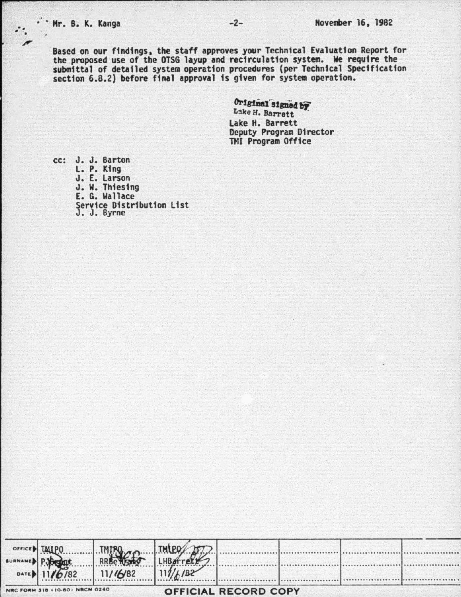Based on our findings, the staff approves your Technical Evaluation Report for the proposed use of the OTSG layup and recirculation system. We require the<br>submittal of detailed system operation procedures (per Technical Specification section 6.8.2) before final approval is given for system operation.

> Original signed by Lake H. Barrett Lake H. Barrett Deputy Program Director **TMI Program Office**

cc: J. J. Barton L. P. King J. E. Larson J. W. Thiesing<br>E. G. Wallace Service Distribution List<br>J. J. Byrne

| OFFICE MIPO |                                | <b>TMPRO</b> | TMIPO |                             |  |  |
|-------------|--------------------------------|--------------|-------|-----------------------------|--|--|
|             | SURNAMED P. BOTH               |              |       |                             |  |  |
|             | DATE 11/6/82                   | 11/16/82     |       |                             |  |  |
|             |                                |              |       |                             |  |  |
|             | NRC FORM 318 (10-80) NRCM 0240 |              |       | <b>OFFICIAL RECORD COPY</b> |  |  |